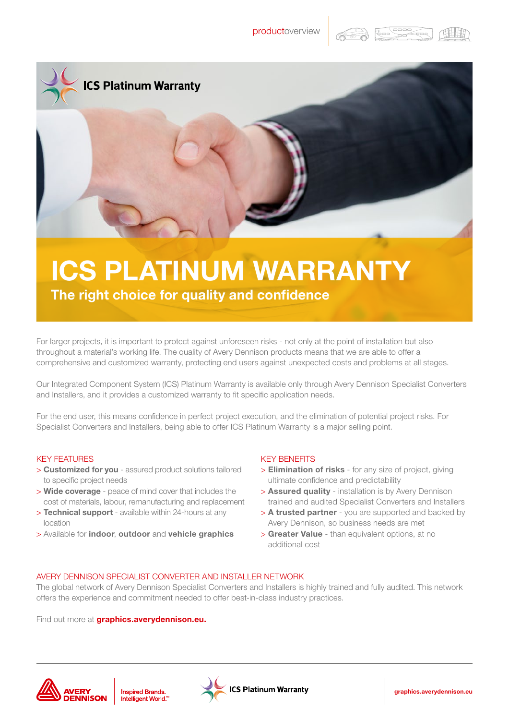





The right choice for quality and confidence

For larger projects, it is important to protect against unforeseen risks - not only at the point of installation but also throughout a material's working life. The quality of Avery Dennison products means that we are able to offer a comprehensive and customized warranty, protecting end users against unexpected costs and problems at all stages.

Our Integrated Component System (ICS) Platinum Warranty is available only through Avery Dennison Specialist Converters and Installers, and it provides a customized warranty to fit specific application needs.

For the end user, this means confidence in perfect project execution, and the elimination of potential project risks. For Specialist Converters and Installers, being able to offer ICS Platinum Warranty is a major selling point.

## KEY FEATURES

- > Customized for you assured product solutions tailored to specific project needs
- > Wide coverage peace of mind cover that includes the cost of materials, labour, remanufacturing and replacement
- > Technical support available within 24-hours at any location
- > Available for indoor, outdoor and vehicle graphics

## KEY BENEFITS

- > Elimination of risks for any size of project, giving ultimate confidence and predictability
- > **Assured quality** installation is by Avery Dennison trained and audited Specialist Converters and Installers
- > A trusted partner you are supported and backed by Avery Dennison, so business needs are met
- > Greater Value than equivalent options, at no additional cost

## AVERY DENNISON SPECIALIST CONVERTER AND INSTALLER NETWORK

The global network of Avery Dennison Specialist Converters and Installers is highly trained and fully audited. This network offers the experience and commitment needed to offer best-in-class industry practices.

Find out more at **graphics.averydennison.eu.**